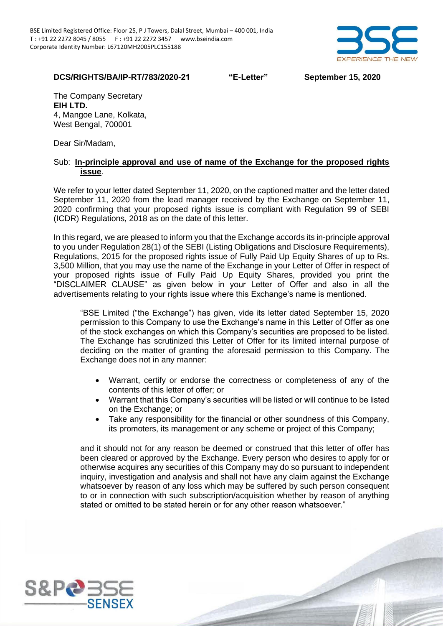

## **DCS/RIGHTS/BA/IP-RT/783/2020-21 "E-Letter" September 15, 2020**

The Company Secretary **EIH LTD.** 4, Mangoe Lane, Kolkata, West Bengal, 700001

Dear Sir/Madam,

## Sub: **In-principle approval and use of name of the Exchange for the proposed rights issue**.

We refer to your letter dated September 11, 2020, on the captioned matter and the letter dated September 11, 2020 from the lead manager received by the Exchange on September 11, 2020 confirming that your proposed rights issue is compliant with Regulation 99 of SEBI (ICDR) Regulations, 2018 as on the date of this letter.

In this regard, we are pleased to inform you that the Exchange accords its in-principle approval to you under Regulation 28(1) of the SEBI (Listing Obligations and Disclosure Requirements), Regulations, 2015 for the proposed rights issue of Fully Paid Up Equity Shares of up to Rs. 3,500 Million, that you may use the name of the Exchange in your Letter of Offer in respect of your proposed rights issue of Fully Paid Up Equity Shares, provided you print the "DISCLAIMER CLAUSE" as given below in your Letter of Offer and also in all the advertisements relating to your rights issue where this Exchange's name is mentioned.

"BSE Limited ("the Exchange") has given, vide its letter dated September 15, 2020 permission to this Company to use the Exchange's name in this Letter of Offer as one of the stock exchanges on which this Company's securities are proposed to be listed. The Exchange has scrutinized this Letter of Offer for its limited internal purpose of deciding on the matter of granting the aforesaid permission to this Company. The Exchange does not in any manner:

- Warrant, certify or endorse the correctness or completeness of any of the contents of this letter of offer; or
- Warrant that this Company's securities will be listed or will continue to be listed on the Exchange; or
- Take any responsibility for the financial or other soundness of this Company, its promoters, its management or any scheme or project of this Company;

and it should not for any reason be deemed or construed that this letter of offer has been cleared or approved by the Exchange. Every person who desires to apply for or otherwise acquires any securities of this Company may do so pursuant to independent inquiry, investigation and analysis and shall not have any claim against the Exchange whatsoever by reason of any loss which may be suffered by such person consequent to or in connection with such subscription/acquisition whether by reason of anything stated or omitted to be stated herein or for any other reason whatsoever."

BSE - INTERNAL